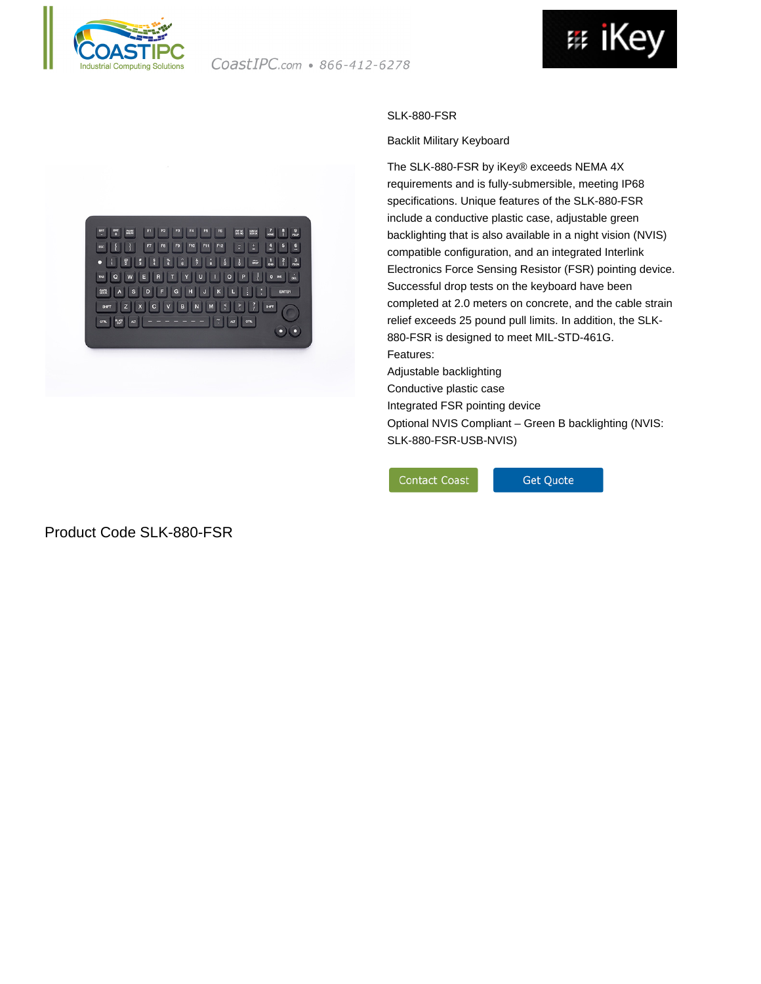





## Product Code SLK-880-FSR

## SLK-880-FSR

## Backlit Military Keyboard

The SLK-880-FSR by iKey® exceeds NEMA 4X requirements and is fully-submersible, meeting IP68 specifications. Unique features of the SLK-880-FSR include a conductive plastic case, adjustable green backlighting that is also available in a night vision (NVIS) compatible configuration, and an integrated Interlink Electronics Force Sensing Resistor (FSR) pointing device. Successful drop tests on the keyboard have been completed at 2.0 meters on concrete, and the cable strain relief exceeds 25 pound pull limits. In addition, the SLK-880-FSR is designed to meet MIL-STD-461G. Features: Adjustable backlighting

Conductive plastic case

Integrated FSR pointing device

Optional NVIS Compliant – Green B backlighting (NVIS: SLK-880-FSR-USB-NVIS)

**Contact Coast** 

Get Quote